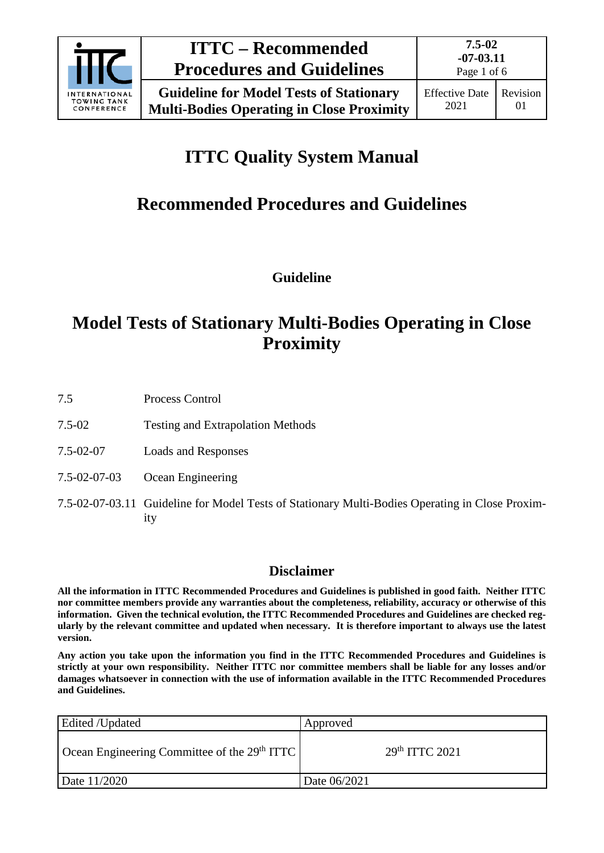

Page 1 of 6

# **ITTC Quality System Manual**

# **Recommended Procedures and Guidelines**

**Guideline**

# **Model Tests of Stationary Multi-Bodies Operating in Close Proximity**

7.5 Process Control

- 7.5-02 Testing and Extrapolation Methods
- 7.5-02-07 Loads and Responses
- 7.5-02-07-03 Ocean Engineering
- 7.5-02-07-03.11 Guideline for Model Tests of Stationary Multi-Bodies Operating in Close Proximity

# **Disclaimer**

**All the information in ITTC Recommended Procedures and Guidelines is published in good faith. Neither ITTC nor committee members provide any warranties about the completeness, reliability, accuracy or otherwise of this information. Given the technical evolution, the ITTC Recommended Procedures and Guidelines are checked regularly by the relevant committee and updated when necessary. It is therefore important to always use the latest version.**

**Any action you take upon the information you find in the ITTC Recommended Procedures and Guidelines is strictly at your own responsibility. Neither ITTC nor committee members shall be liable for any losses and/or damages whatsoever in connection with the use of information available in the ITTC Recommended Procedures and Guidelines.**

| Edited /Updated                                | Approved                   |
|------------------------------------------------|----------------------------|
| Ocean Engineering Committee of the $29th ITTC$ | 29 <sup>th</sup> TTTC 2021 |
| Date 11/2020                                   | Date 06/2021               |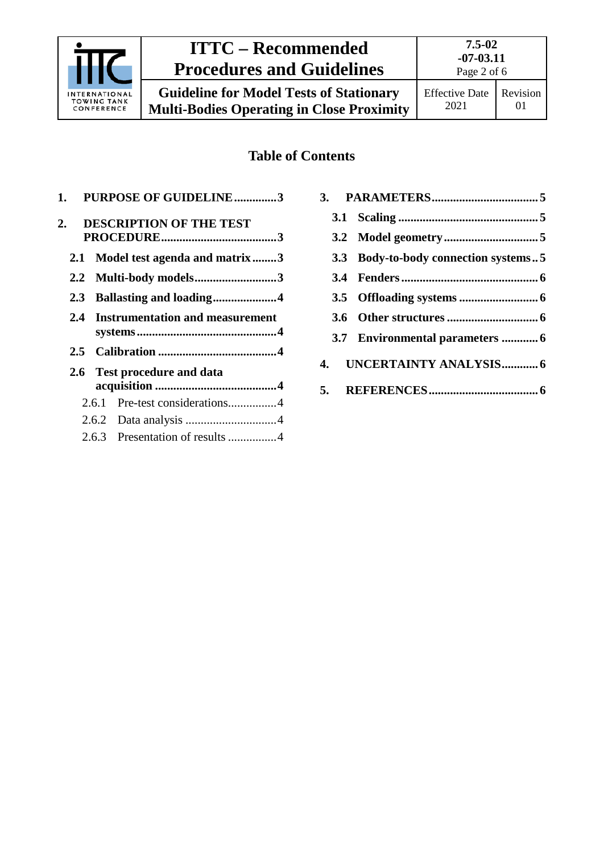

# **ITTC – Recommended Procedures and Guidelines**

# **Table of Contents**

|     | 1. PURPOSE OF GUIDELINE3               |  |
|-----|----------------------------------------|--|
| 2.  | <b>DESCRIPTION OF THE TEST</b>         |  |
|     |                                        |  |
|     | 2.1 Model test agenda and matrix3      |  |
|     | 2.2 Multi-body models3                 |  |
|     |                                        |  |
| 2.4 | <b>Instrumentation and measurement</b> |  |
|     |                                        |  |
|     |                                        |  |
|     |                                        |  |
|     | 2.6 Test procedure and data            |  |
|     |                                        |  |
|     | 2.6.1 Pre-test considerations4         |  |
|     |                                        |  |

|  | 3.3 Body-to-body connection systems5 |
|--|--------------------------------------|
|  |                                      |
|  |                                      |
|  |                                      |
|  |                                      |
|  | 4. UNCERTAINTY ANALYSIS6             |
|  |                                      |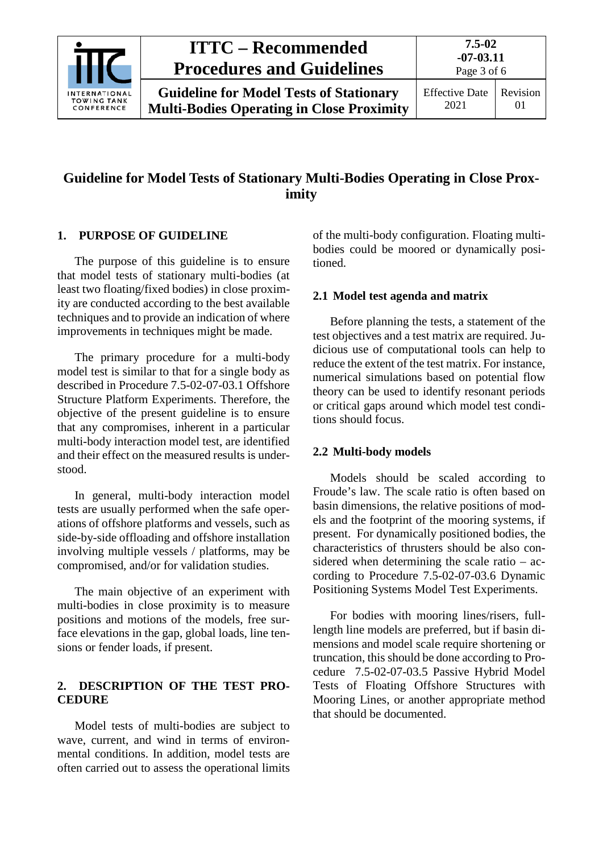

# **ITTC – Recommended Procedures and Guidelines**

01

# **Guideline for Model Tests of Stationary Multi-Bodies Operating in Close Proximity**

#### <span id="page-2-0"></span>**1. PURPOSE OF GUIDELINE**

The purpose of this guideline is to ensure that model tests of stationary multi-bodies (at least two floating/fixed bodies) in close proximity are conducted according to the best available techniques and to provide an indication of where improvements in techniques might be made.

The primary procedure for a multi-body model test is similar to that for a single body as described in Procedure 7.5-02-07-03.1 Offshore Structure Platform Experiments. Therefore, the objective of the present guideline is to ensure that any compromises, inherent in a particular multi-body interaction model test, are identified and their effect on the measured results is understood.

In general, multi-body interaction model tests are usually performed when the safe operations of offshore platforms and vessels, such as side-by-side offloading and offshore installation involving multiple vessels / platforms, may be compromised, and/or for validation studies.

The main objective of an experiment with multi-bodies in close proximity is to measure positions and motions of the models, free surface elevations in the gap, global loads, line tensions or fender loads, if present.

#### <span id="page-2-1"></span>**2. DESCRIPTION OF THE TEST PRO-CEDURE**

Model tests of multi-bodies are subject to wave, current, and wind in terms of environmental conditions. In addition, model tests are often carried out to assess the operational limits of the multi-body configuration. Floating multibodies could be moored or dynamically positioned.

#### <span id="page-2-2"></span>**2.1 Model test agenda and matrix**

Before planning the tests, a statement of the test objectives and a test matrix are required. Judicious use of computational tools can help to reduce the extent of the test matrix. For instance, numerical simulations based on potential flow theory can be used to identify resonant periods or critical gaps around which model test conditions should focus.

#### <span id="page-2-3"></span>**2.2 Multi-body models**

Models should be scaled according to Froude's law. The scale ratio is often based on basin dimensions, the relative positions of models and the footprint of the mooring systems, if present. For dynamically positioned bodies, the characteristics of thrusters should be also considered when determining the scale ratio – according to Procedure 7.5-02-07-03.6 Dynamic Positioning Systems Model Test Experiments.

For bodies with mooring lines/risers, fulllength line models are preferred, but if basin dimensions and model scale require shortening or truncation, this should be done according to Procedure 7.5-02-07-03.5 Passive Hybrid Model Tests of Floating Offshore Structures with Mooring Lines, or another appropriate method that should be documented.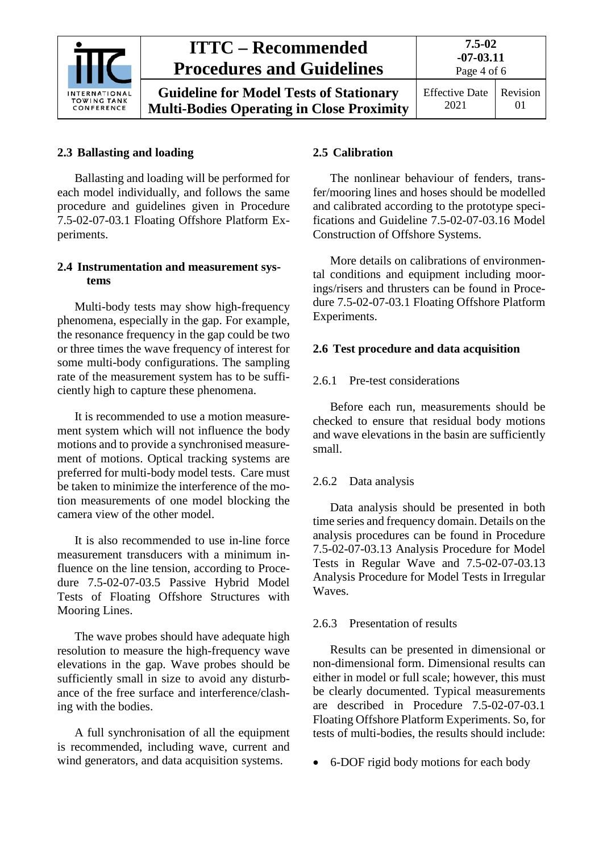

#### <span id="page-3-0"></span>**2.3 Ballasting and loading**

Ballasting and loading will be performed for each model individually, and follows the same procedure and guidelines given in Procedure 7.5-02-07-03.1 Floating Offshore Platform Experiments.

#### <span id="page-3-1"></span>**2.4 Instrumentation and measurement systems**

Multi-body tests may show high-frequency phenomena, especially in the gap. For example, the resonance frequency in the gap could be two or three times the wave frequency of interest for some multi-body configurations. The sampling rate of the measurement system has to be sufficiently high to capture these phenomena.

It is recommended to use a motion measurement system which will not influence the body motions and to provide a synchronised measurement of motions. Optical tracking systems are preferred for multi-body model tests. Care must be taken to minimize the interference of the motion measurements of one model blocking the camera view of the other model.

It is also recommended to use in-line force measurement transducers with a minimum influence on the line tension, according to Procedure 7.5-02-07-03.5 Passive Hybrid Model Tests of Floating Offshore Structures with Mooring Lines.

The wave probes should have adequate high resolution to measure the high-frequency wave elevations in the gap. Wave probes should be sufficiently small in size to avoid any disturbance of the free surface and interference/clashing with the bodies.

A full synchronisation of all the equipment is recommended, including wave, current and wind generators, and data acquisition systems.

#### <span id="page-3-2"></span>**2.5 Calibration**

The nonlinear behaviour of fenders, transfer/mooring lines and hoses should be modelled and calibrated according to the prototype specifications and Guideline 7.5-02-07-03.16 Model Construction of Offshore Systems.

More details on calibrations of environmental conditions and equipment including moorings/risers and thrusters can be found in Procedure 7.5-02-07-03.1 Floating Offshore Platform Experiments.

#### <span id="page-3-4"></span><span id="page-3-3"></span>**2.6 Test procedure and data acquisition**

#### 2.6.1 Pre-test considerations

Before each run, measurements should be checked to ensure that residual body motions and wave elevations in the basin are sufficiently small.

#### <span id="page-3-5"></span>2.6.2 Data analysis

Data analysis should be presented in both time series and frequency domain. Details on the analysis procedures can be found in Procedure 7.5-02-07-03.13 Analysis Procedure for Model Tests in Regular Wave and 7.5-02-07-03.13 Analysis Procedure for Model Tests in Irregular Waves.

#### <span id="page-3-6"></span>2.6.3 Presentation of results

Results can be presented in dimensional or non-dimensional form. Dimensional results can either in model or full scale; however, this must be clearly documented. Typical measurements are described in Procedure 7.5-02-07-03.1 Floating Offshore Platform Experiments. So, for tests of multi-bodies, the results should include:

• 6-DOF rigid body motions for each body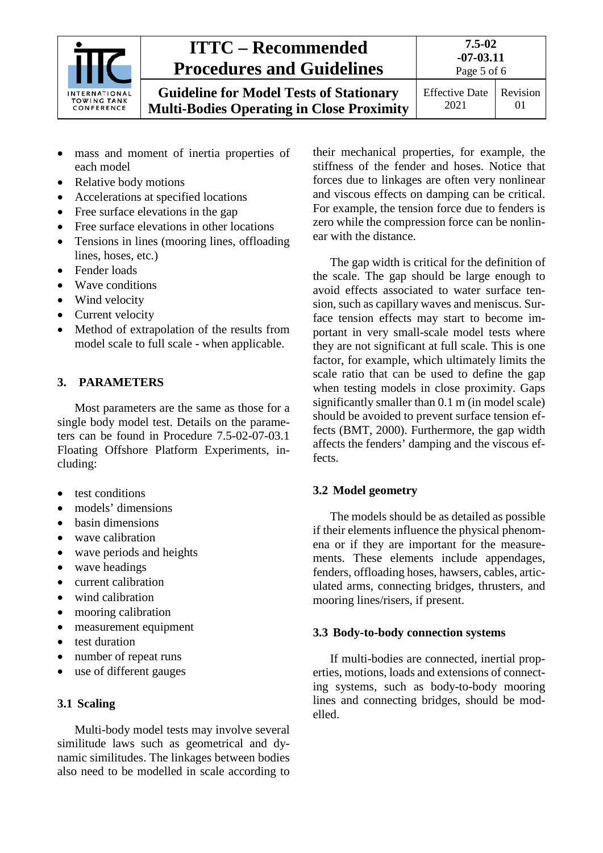

# **ITTC – Recommended Procedures and Guidelines**

**Guideline for Model Tests of Stationary Multi-Bodies Operating in Close Proximity** Page 5 of 6

**7.5-02 -07-03.11**

Effective Date 2021 Revision 01

- mass and moment of inertia properties of each model
- Relative body motions
- Accelerations at specified locations
- Free surface elevations in the gap
- Free surface elevations in other locations
- Tensions in lines (mooring lines, offloading lines, hoses, etc.)
- Fender loads
- Wave conditions
- Wind velocity
- Current velocity
- Method of extrapolation of the results from model scale to full scale - when applicable.

## <span id="page-4-0"></span>**3. PARAMETERS**

Most parameters are the same as those for a single body model test. Details on the parameters can be found in Procedure 7.5-02-07-03.1 Floating Offshore Platform Experiments, including:

- test conditions
- models' dimensions
- basin dimensions
- wave calibration
- wave periods and heights
- wave headings
- current calibration
- wind calibration
- mooring calibration
- measurement equipment
- test duration
- number of repeat runs
- use of different gauges

## <span id="page-4-1"></span>**3.1 Scaling**

Multi-body model tests may involve several similitude laws such as geometrical and dynamic similitudes. The linkages between bodies also need to be modelled in scale according to their mechanical properties, for example, the stiffness of the fender and hoses. Notice that forces due to linkages are often very nonlinear and viscous effects on damping can be critical. For example, the tension force due to fenders is zero while the compression force can be nonlinear with the distance.

The gap width is critical for the definition of the scale. The gap should be large enough to avoid effects associated to water surface tension, such as capillary waves and meniscus. Surface tension effects may start to become important in very small-scale model tests where they are not significant at full scale. This is one factor, for example, which ultimately limits the scale ratio that can be used to define the gap when testing models in close proximity. Gaps significantly smaller than 0.1 m (in model scale) should be avoided to prevent surface tension effects (BMT, 2000). Furthermore, the gap width affects the fenders' damping and the viscous effects.

## <span id="page-4-2"></span>**3.2 Model geometry**

The models should be as detailed as possible if their elements influence the physical phenomena or if they are important for the measurements. These elements include appendages, fenders, offloading hoses, hawsers, cables, articulated arms, connecting bridges, thrusters, and mooring lines/risers, if present.

#### <span id="page-4-3"></span>**3.3 Body-to-body connection systems**

If multi-bodies are connected, inertial properties, motions, loads and extensions of connecting systems, such as body-to-body mooring lines and connecting bridges, should be modelled.